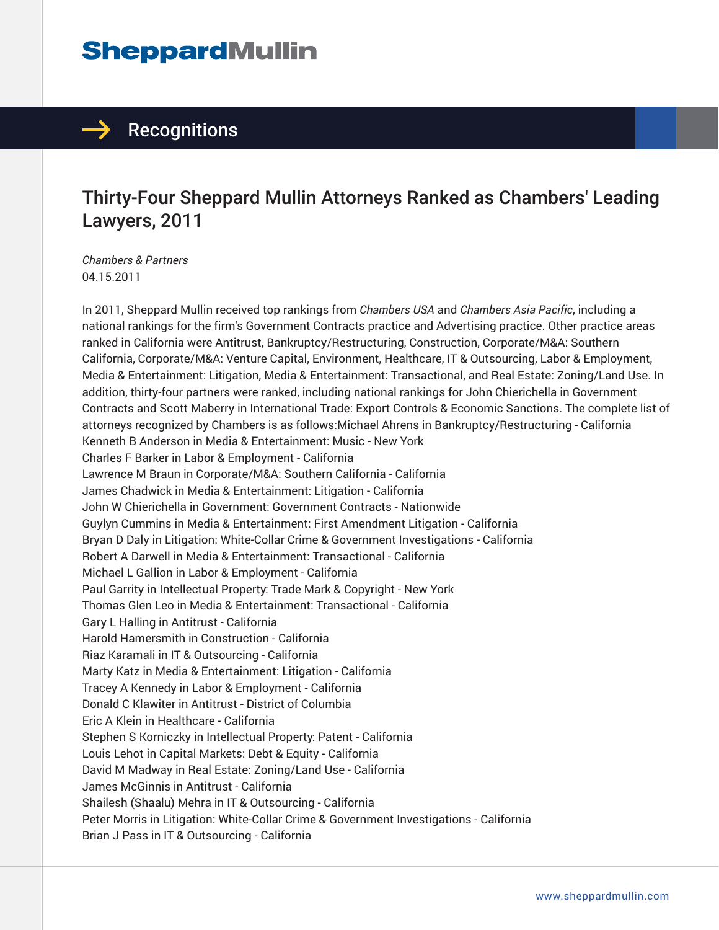## **SheppardMullin**

## $\rightarrow$  Recognitions

## Thirty-Four Sheppard Mullin Attorneys Ranked as Chambers' Leading Lawyers, 2011

*Chambers & Partners* 04.15.2011

In 2011, Sheppard Mullin received top rankings from *Chambers USA* and *Chambers Asia Pacific*, including a national rankings for the firm's Government Contracts practice and Advertising practice. Other practice areas ranked in California were Antitrust, Bankruptcy/Restructuring, Construction, Corporate/M&A: Southern California, Corporate/M&A: Venture Capital, Environment, Healthcare, IT & Outsourcing, Labor & Employment, Media & Entertainment: Litigation, Media & Entertainment: Transactional, and Real Estate: Zoning/Land Use. In addition, thirty-four partners were ranked, including national rankings for John Chierichella in Government Contracts and Scott Maberry in International Trade: Export Controls & Economic Sanctions. The complete list of attorneys recognized by Chambers is as follows:Michael Ahrens in Bankruptcy/Restructuring - California Kenneth B Anderson in Media & Entertainment: Music - New York Charles F Barker in Labor & Employment - California Lawrence M Braun in Corporate/M&A: Southern California - California James Chadwick in Media & Entertainment: Litigation - California John W Chierichella in Government: Government Contracts - Nationwide Guylyn Cummins in Media & Entertainment: First Amendment Litigation - California Bryan D Daly in Litigation: White-Collar Crime & Government Investigations - California Robert A Darwell in Media & Entertainment: Transactional - California Michael L Gallion in Labor & Employment - California Paul Garrity in Intellectual Property: Trade Mark & Copyright - New York Thomas Glen Leo in Media & Entertainment: Transactional - California Gary L Halling in Antitrust - California Harold Hamersmith in Construction - California Riaz Karamali in IT & Outsourcing - California Marty Katz in Media & Entertainment: Litigation - California Tracey A Kennedy in Labor & Employment - California Donald C Klawiter in Antitrust - District of Columbia Eric A Klein in Healthcare - California Stephen S Korniczky in Intellectual Property: Patent - California Louis Lehot in Capital Markets: Debt & Equity - California David M Madway in Real Estate: Zoning/Land Use - California James McGinnis in Antitrust - California Shailesh (Shaalu) Mehra in IT & Outsourcing - California Peter Morris in Litigation: White-Collar Crime & Government Investigations - California Brian J Pass in IT & Outsourcing - California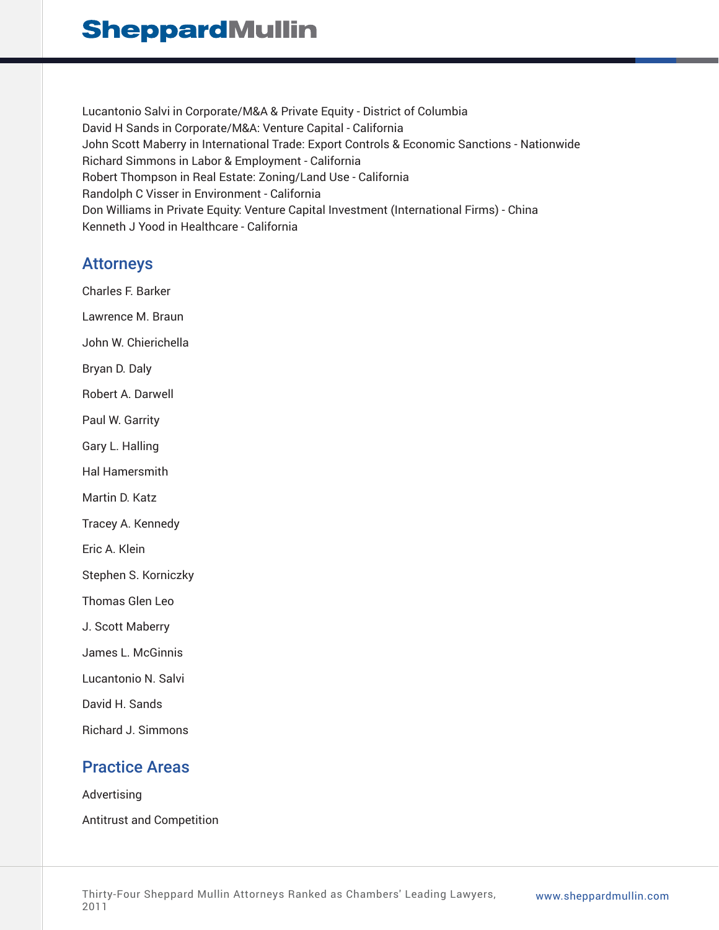## **SheppardMullin**

Lucantonio Salvi in Corporate/M&A & Private Equity - District of Columbia David H Sands in Corporate/M&A: Venture Capital - California John Scott Maberry in International Trade: Export Controls & Economic Sanctions - Nationwide Richard Simmons in Labor & Employment - California Robert Thompson in Real Estate: Zoning/Land Use - California Randolph C Visser in Environment - California Don Williams in Private Equity: Venture Capital Investment (International Firms) - China Kenneth J Yood in Healthcare - California

#### Attorneys

Charles F. Barker Lawrence M. Braun John W. Chierichella Bryan D. Daly Robert A. Darwell Paul W. Garrity Gary L. Halling Hal Hamersmith Martin D. Katz Tracey A. Kennedy Eric A. Klein Stephen S. Korniczky Thomas Glen Leo J. Scott Maberry James L. McGinnis Lucantonio N. Salvi David H. Sands Richard J. Simmons

### Practice Areas

Advertising Antitrust and Competition